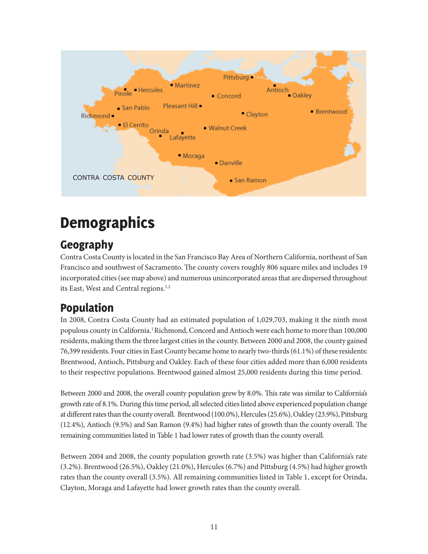

# **Demographics**

# Geography

Contra Costa County is located in the San Francisco Bay Area of Northern California, northeast of San Francisco and southwest of Sacramento. The county covers roughly 806 square miles and includes 19 incorporated cities (see map above) and numerous unincorporated areas that are dispersed throughout its East, West and Central regions.<sup>1,2</sup>

# Population

In 2008, Contra Costa County had an estimated population of 1,029,703, making it the ninth most populous county in California.1 Richmond, Concord and Antioch were each home to more than 100,000 residents, making them the three largest cities in the county. Between 2000 and 2008, the county gained 76,399 residents. Four cities in East County became home to nearly two-thirds (61.1%) of these residents: Brentwood, Antioch, Pittsburg and Oakley. Each of these four cities added more than 6,000 residents to their respective populations. Brentwood gained almost 25,000 residents during this time period.

Between 2000 and 2008, the overall county population grew by 8.0%. This rate was similar to California's growth rate of 8.1%. During this time period, all selected cities listed above experienced population change at different rates than the county overall. Brentwood (100.0%), Hercules (25.6%), Oakley (23.9%), Pittsburg (12.4%), Antioch (9.5%) and San Ramon (9.4%) had higher rates of growth than the county overall. The remaining communities listed in Table 1 had lower rates of growth than the county overall.

Between 2004 and 2008, the county population growth rate (3.5%) was higher than California's rate (3.2%). Brentwood (26.5%), Oakley (21.0%), Hercules (6.7%) and Pittsburg (4.5%) had higher growth rates than the county overall (3.5%). All remaining communities listed in Table 1, except for Orinda, Clayton, Moraga and Lafayette had lower growth rates than the county overall.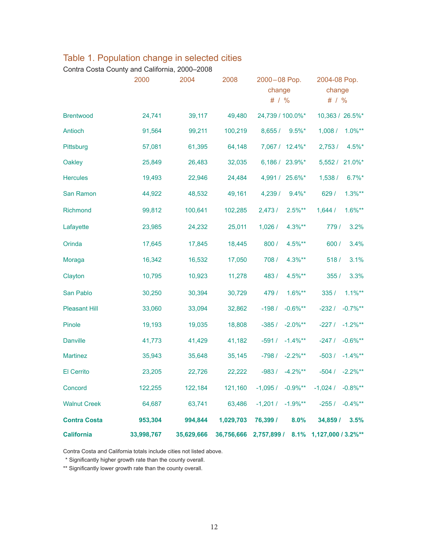|                      | 2000       | 2004       | 2008       | 2000-08 Pop.<br>change<br># $/$ % | 2004-08 Pop.<br>change<br># $/$ % |
|----------------------|------------|------------|------------|-----------------------------------|-----------------------------------|
| <b>Brentwood</b>     | 24,741     | 39,117     | 49,480     | 24,739 / 100.0%*                  | 10,363 / 26.5%*                   |
| Antioch              | 91,564     | 99,211     | 100,219    | 8,655/<br>$9.5\%$ *               | $1.0\%**$<br>1,008/               |
| Pittsburg            | 57,081     | 61,395     | 64,148     | 7,067 / 12.4%*                    | $4.5\%$ *<br>2,753/               |
| Oakley               | 25,849     | 26,483     | 32,035     | 6,186 / 23.9%*                    | 5,552 / 21.0%*                    |
| <b>Hercules</b>      | 19,493     | 22,946     | 24,484     | 4,991 / 25.6%*                    | $6.7\%$ *<br>1,538/               |
| San Ramon            | 44,922     | 48,532     | 49,161     | 4,239/<br>$9.4\%$ *               | $1.3%**$<br>629/                  |
| Richmond             | 99,812     | 100,641    | 102,285    | 2,473/<br>$2.5\%**$               | $1.6\%**$<br>1,644/               |
| Lafayette            | 23,985     | 24,232     | 25,011     | 1,026/<br>$4.3%**$                | 3.2%<br>779/                      |
| Orinda               | 17,645     | 17,845     | 18,445     | 4.5%**<br>800/                    | 3.4%<br>600 /                     |
| Moraga               | 16,342     | 16,532     | 17,050     | 708 /<br>$4.3%**$                 | 518/<br>3.1%                      |
| Clayton              | 10,795     | 10,923     | 11,278     | 483/<br>4.5%**                    | 355/<br>3.3%                      |
| San Pablo            | 30,250     | 30,394     | 30,729     | 479 /<br>$1.6\%**$                | $1.1\%**$<br>335/                 |
| <b>Pleasant Hill</b> | 33,060     | 33,094     | 32,862     | $-198/$<br>$-0.6\%$ **            | $-0.7\%**$<br>$-232/$             |
| Pinole               | 19,193     | 19,035     | 18,808     | $-2.0\%**$<br>$-385/$             | $-1.2\%**$<br>$-227/$             |
| <b>Danville</b>      | 41,773     | 41,429     | 41,182     | $-591/$<br>$-1.4\%**$             | $-0.6\%**$<br>$-247/$             |
| <b>Martinez</b>      | 35,943     | 35,648     | 35,145     | $-798/$<br>$-2.2\%**$             | $-1.4\%**$<br>$-503/$             |
| <b>El Cerrito</b>    | 23,205     | 22,726     | 22,222     | $-4.2\%**$<br>$-983/$             | $-2.2\%**$<br>$-504/$             |
| Concord              | 122,255    | 122,184    | 121,160    | $-0.9\%**$<br>$-1,095/$           | $-0.8\%**$<br>$-1,024/$           |
| <b>Walnut Creek</b>  | 64,687     | 63,741     | 63,486     | $-1,201/$<br>$-1.9%$ **           | $-0.4\%**$<br>$-255/$             |
| <b>Contra Costa</b>  | 953,304    | 994,844    | 1,029,703  | 76,399 /<br>8.0%                  | 34,859 /<br>3.5%                  |
| <b>California</b>    | 33,998,767 | 35,629,666 | 36,756,666 | 2,757,899 /<br>8.1%               | 1,127,000 / 3.2%**                |

### Table 1. Population change in selected cities

Contra Costa County and California, 2000–2008

Contra Costa and California totals include cities not listed above.

\* Significantly higher growth rate than the county overall.

\*\* Significantly lower growth rate than the county overall.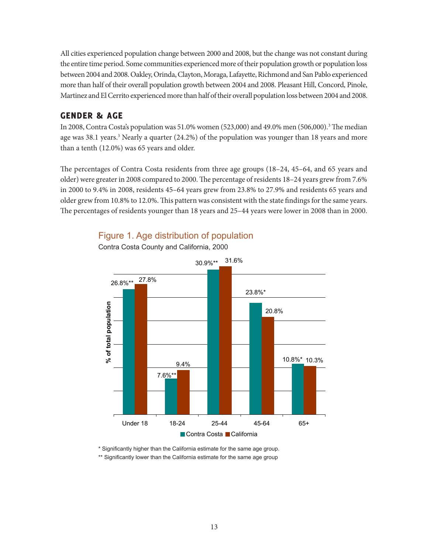All cities experienced population change between 2000 and 2008, but the change was not constant during the entire time period. Some communities experienced more of their population growth or population loss between 2004 and 2008. Oakley, Orinda, Clayton, Moraga, Lafayette, Richmond and San Pablo experienced more than half of their overall population growth between 2004 and 2008. Pleasant Hill, Concord, Pinole, Martinez and El Cerrito experienced more than half of their overall population loss between 2004 and 2008.

### GENDER **&** AGE

In 2008, Contra Costa's population was 51.0% women (523,000) and 49.0% men (506,000).3 The median age was 38.1 years.<sup>3</sup> Nearly a quarter (24.2%) of the population was younger than 18 years and more than a tenth (12.0%) was 65 years and older.

The percentages of Contra Costa residents from three age groups (18–24, 45–64, and 65 years and older) were greater in 2008 compared to 2000. The percentage of residents 18–24 years grew from 7.6% in 2000 to 9.4% in 2008, residents 45–64 years grew from 23.8% to 27.9% and residents 65 years and older grew from 10.8% to 12.0%. This pattern was consistent with the state findings for the same years. The percentages of residents younger than 18 years and 25–44 years were lower in 2008 than in 2000.



### Figure 1. Age distribution of population

\* Significantly higher than the California estimate for the same age group.

\*\* Significantly lower than the California estimate for the same age group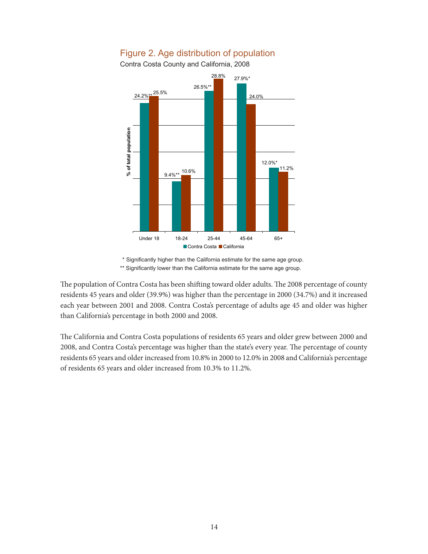

### Figure 2. Age distribution of population

\* Significantly higher than the California estimate for the same age group. \*\* Significantly lower than the California estimate for the same age group.

The population of Contra Costa has been shifting toward older adults. The 2008 percentage of county residents 45 years and older (39.9%) was higher than the percentage in 2000 (34.7%) and it increased each year between 2001 and 2008. Contra Costa's percentage of adults age 45 and older was higher than California's percentage in both 2000 and 2008.

The California and Contra Costa populations of residents 65 years and older grew between 2000 and 2008, and Contra Costa's percentage was higher than the state's every year. The percentage of county residents 65 years and older increased from 10.8% in 2000 to 12.0% in 2008 and California's percentage of residents 65 years and older increased from 10.3% to 11.2%.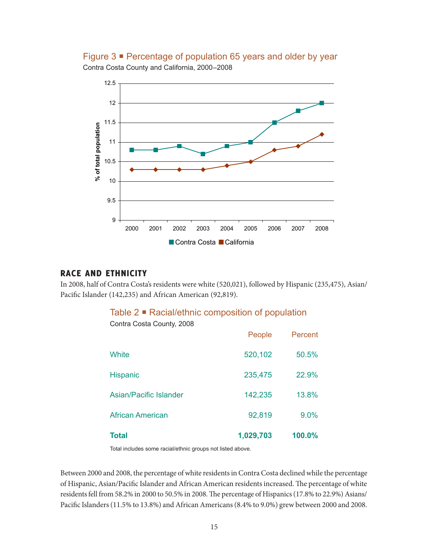Figure 3 ■ Percentage of population 65 years and older by year Contra Costa County and California, 2000–2008



#### RACE AND ETHNICITY

In 2008, half of Contra Costa's residents were white (520,021), followed by Hispanic (235,475), Asian/ Pacific Islander (142,235) and African American (92,819).

### Table 2 **■** Racial/ethnic composition of population

Contra Costa County, 2008

| <b>Total</b>            | 1,029,703 | 100.0%  |
|-------------------------|-----------|---------|
| <b>African American</b> | 92,819    | 9.0%    |
| Asian/Pacific Islander  | 142,235   | 13.8%   |
| <b>Hispanic</b>         | 235,475   | 22.9%   |
| <b>White</b>            | 520,102   | 50.5%   |
|                         | People    | Percent |

Total includes some racial/ethnic groups not listed above.

Between 2000 and 2008, the percentage of white residents in Contra Costa declined while the percentage of Hispanic, Asian/Pacific Islander and African American residents increased. The percentage of white residents fell from 58.2% in 2000 to 50.5% in 2008. The percentage of Hispanics (17.8% to 22.9%) Asians/ Pacific Islanders (11.5% to 13.8%) and African Americans (8.4% to 9.0%) grew between 2000 and 2008.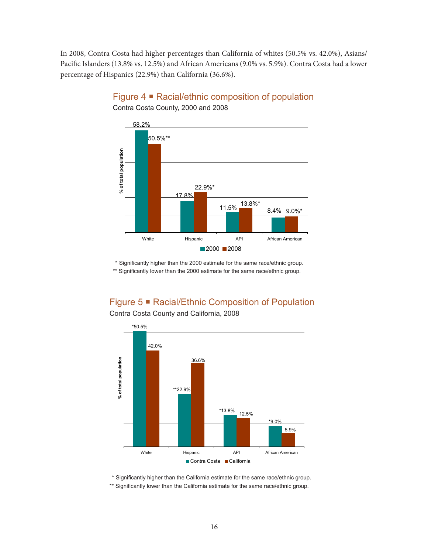In 2008, Contra Costa had higher percentages than California of whites (50.5% vs. 42.0%), Asians/ Pacific Islanders (13.8% vs. 12.5%) and African Americans (9.0% vs. 5.9%). Contra Costa had a lower percentage of Hispanics (22.9%) than California (36.6%).



Figure 4 Racial/ethnic composition of population Contra Costa County, 2000 and 2008

 \* Significantly higher than the 2000 estimate for the same race/ethnic group. \*\* Significantly lower than the 2000 estimate for the same race/ethnic group.

Figure 5 Racial/Ethnic Composition of Population



Contra Costa County and California, 2008

\* Significantly higher than the California estimate for the same race/ethnic group.

\*\* Significantly lower than the California estimate for the same race/ethnic group.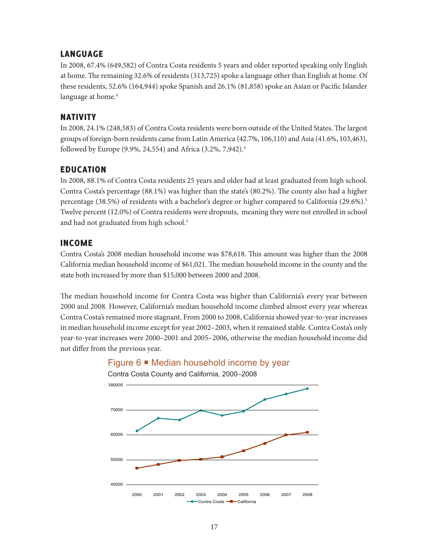### LANGUAGE

In 2008, 67.4% (649,582) of Contra Costa residents 5 years and older reported speaking only English at home. The remaining 32.6% of residents (313,725) spoke a language other than English at home. Of these residents, 52.6% (164,944) spoke Spanish and 26.1% (81,858) spoke an Asian or Pacific Islander language at home.<sup>4</sup>

### NATIVITY

In 2008, 24.1% (248,583) of Contra Costa residents were born outside of the United States. The largest groups of foreign-born residents came from Latin America (42.7%, 106,110) and Asia (41.6%, 103,463), followed by Europe (9.9%, 24,554) and Africa (3.2%, 7,942).4

### EDUCATION

In 2008, 88.1% of Contra Costa residents 25 years and older had at least graduated from high school. Contra Costa's percentage (88.1%) was higher than the state's (80.2%). The county also had a higher percentage (38.5%) of residents with a bachelor's degree or higher compared to California (29.6%).<sup>5</sup> Twelve percent (12.0%) of Contra residents were dropouts, meaning they were not enrolled in school and had not graduated from high school.<sup>3</sup>

#### INCOME

Contra Costa's 2008 median household income was \$78,618. This amount was higher than the 2008 California median household income of \$61,021. The median household income in the county and the state both increased by more than \$15,000 between 2000 and 2008.

The median household income for Contra Costa was higher than California's every year between 2000 and 2008. However, California's median household income climbed almost every year whereas Contra Costa's remained more stagnant. From 2000 to 2008, California showed year-to-year increases in median household income except for year 2002–2003, when it remained stable. Contra Costa's only year-to-year increases were 2000–2001 and 2005–2006, otherwise the median household income did not differ from the previous year.



### Figure 6 · Median household income by year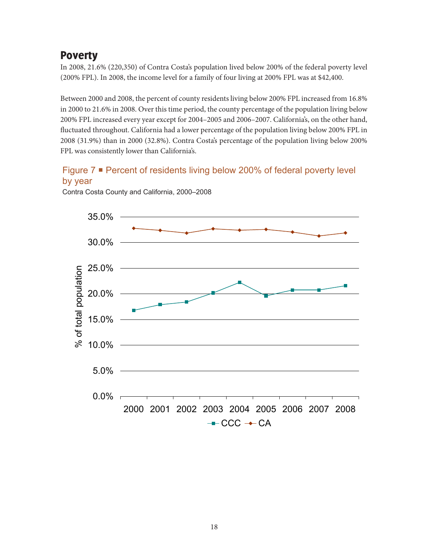### Poverty

In 2008, 21.6% (220,350) of Contra Costa's population lived below 200% of the federal poverty level (200% FPL). In 2008, the income level for a family of four living at 200% FPL was at \$42,400.

Between 2000 and 2008, the percent of county residents living below 200% FPL increased from 16.8% in 2000 to 21.6% in 2008. Over this time period, the county percentage of the population living below 200% FPL increased every year except for 2004–2005 and 2006–2007. California's, on the other hand, fluctuated throughout. California had a lower percentage of the population living below 200% FPL in 2008 (31.9%) than in 2000 (32.8%). Contra Costa's percentage of the population living below 200% FPL was consistently lower than California's.

### Figure 7 ■ Percent of residents living below 200% of federal poverty level by year



Contra Costa County and California, 2000–2008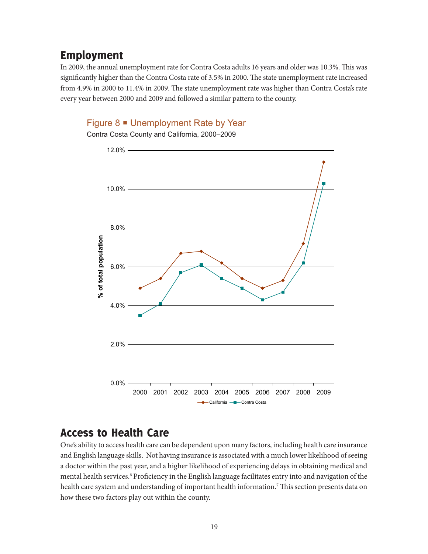### Employment

In 2009, the annual unemployment rate for Contra Costa adults 16 years and older was 10.3%. This was significantly higher than the Contra Costa rate of 3.5% in 2000. The state unemployment rate increased from 4.9% in 2000 to 11.4% in 2009. The state unemployment rate was higher than Contra Costa's rate every year between 2000 and 2009 and followed a similar pattern to the county.

#### Figure 8 ■ Unemployment Rate by Year

Contra Costa County and California, 2000–2009



### Access to Health Care

One's ability to access health care can be dependent upon many factors, including health care insurance and English language skills. Not having insurance is associated with a much lower likelihood of seeing a doctor within the past year, and a higher likelihood of experiencing delays in obtaining medical and mental health services.<sup>6</sup> Proficiency in the English language facilitates entry into and navigation of the health care system and understanding of important health information.7 This section presents data on how these two factors play out within the county.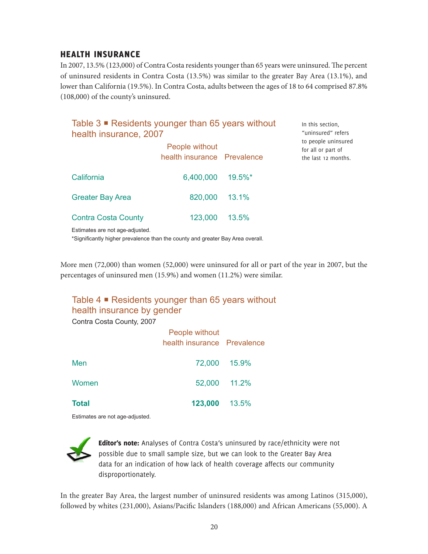### HEALTH INSURANCE

In 2007, 13.5% (123,000) of Contra Costa residents younger than 65 years were uninsured. The percent of uninsured residents in Contra Costa (13.5%) was similar to the greater Bay Area (13.1%), and lower than California (19.5%). In Contra Costa, adults between the ages of 18 to 64 comprised 87.8% (108,000) of the county's uninsured.

> In this section, "uninsured" refers

### Table  $3 \blacksquare$  Residents younger than 65 years without health insurance, 2007

|                                 | People without<br>health insurance Prevalence |            | to people uninsured<br>for all or part of<br>the last 12 months. |
|---------------------------------|-----------------------------------------------|------------|------------------------------------------------------------------|
| California                      | 6,400,000                                     | $19.5\%$ * |                                                                  |
| <b>Greater Bay Area</b>         | 820,000                                       | 13.1%      |                                                                  |
| <b>Contra Costa County</b>      | 123,000                                       | 13.5%      |                                                                  |
| Estimates are not age-adjusted. |                                               |            |                                                                  |

\*Significantly higher prevalence than the county and greater Bay Area overall.

More men (72,000) than women (52,000) were uninsured for all or part of the year in 2007, but the percentages of uninsured men (15.9%) and women (11.2%) were similar.

### Table  $4 \blacksquare$  Residents younger than 65 years without health insurance by gender

Contra Costa County, 2007

|              | People without<br>health insurance Prevalence |              |
|--------------|-----------------------------------------------|--------------|
| Men          |                                               | 72,000 15.9% |
| Women        |                                               | 52,000 11.2% |
| <b>Total</b> | 123,000 13.5%                                 |              |

Estimates are not age-adjusted.



Editor's note: Analyses of Contra Costa's uninsured by race/ethnicity were not possible due to small sample size, but we can look to the Greater Bay Area data for an indication of how lack of health coverage affects our community disproportionately.

In the greater Bay Area, the largest number of uninsured residents was among Latinos (315,000), followed by whites (231,000), Asians/Pacific Islanders (188,000) and African Americans (55,000). A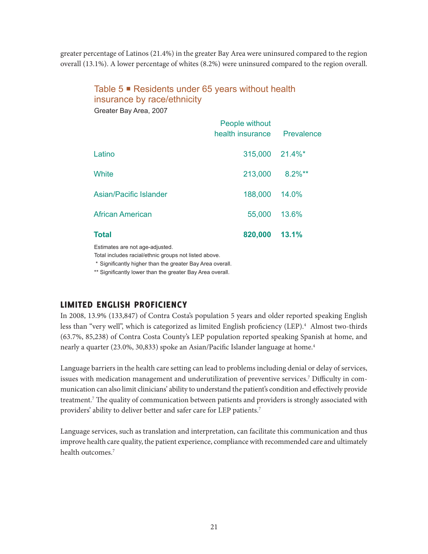greater percentage of Latinos (21.4%) in the greater Bay Area were uninsured compared to the region overall (13.1%). A lower percentage of whites (8.2%) were uninsured compared to the region overall.

### Table 5 ■ Residents under 65 years without health insurance by race/ethnicity

Greater Bay Area, 2007

|                         | People without<br>health insurance | Prevalence |
|-------------------------|------------------------------------|------------|
| Latino                  | 315,000 21.4%*                     |            |
| White                   | 213,000                            | $8.2\%**$  |
| Asian/Pacific Islander  | 188,000                            | 14.0%      |
| <b>African American</b> | 55,000                             | 13.6%      |
| <b>Total</b>            | 820,000                            | 13.1%      |

Estimates are not age-adjusted.

Total includes racial/ethnic groups not listed above.

\* Significantly higher than the greater Bay Area overall.

\*\* Significantly lower than the greater Bay Area overall.

### LIMITED ENGLISH PROFICIENCY

In 2008, 13.9% (133,847) of Contra Costa's population 5 years and older reported speaking English less than "very well", which is categorized as limited English proficiency (LEP).4 Almost two-thirds (63.7%, 85,238) of Contra Costa County's LEP population reported speaking Spanish at home, and nearly a quarter (23.0%, 30,833) spoke an Asian/Pacific Islander language at home.<sup>4</sup>

Language barriers in the health care setting can lead to problems including denial or delay of services, issues with medication management and underutilization of preventive services.7 Difficulty in communication can also limit clinicians' ability to understand the patient's condition and effectively provide treatment.7 The quality of communication between patients and providers is strongly associated with providers' ability to deliver better and safer care for LEP patients.7

Language services, such as translation and interpretation, can facilitate this communication and thus improve health care quality, the patient experience, compliance with recommended care and ultimately health outcomes.<sup>7</sup>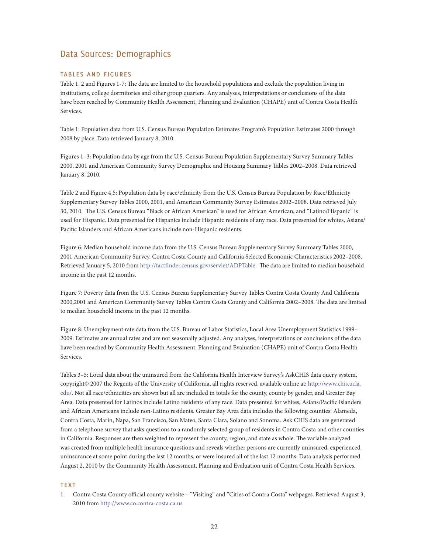#### Data Sources: Demographics

#### tables and figures

Table 1, 2 and Figures 1-7: The data are limited to the household populations and exclude the population living in institutions, college dormitories and other group quarters. Any analyses, interpretations or conclusions of the data have been reached by Community Health Assessment, Planning and Evaluation (CHAPE) unit of Contra Costa Health Services.

Table 1: Population data from U.S. Census Bureau Population Estimates Program's Population Estimates 2000 through 2008 by place. Data retrieved January 8, 2010.

Figures 1–3: Population data by age from the U.S. Census Bureau Population Supplementary Survey Summary Tables 2000, 2001 and American Community Survey Demographic and Housing Summary Tables 2002–2008. Data retrieved January 8, 2010.

Table 2 and Figure 4,5: Population data by race/ethnicity from the U.S. Census Bureau Population by Race/Ethnicity Supplementary Survey Tables 2000, 2001, and American Community Survey Estimates 2002–2008. Data retrieved July 30, 2010. The U.S. Census Bureau "Black or African American" is used for African American, and "Latino/Hispanic" is used for Hispanic. Data presented for Hispanics include Hispanic residents of any race. Data presented for whites, Asians/ Pacific Islanders and African Americans include non-Hispanic residents.

Figure 6: Median household income data from the U.S. Census Bureau Supplementary Survey Summary Tables 2000, 2001 American Community Survey. Contra Costa County and California Selected Economic Characteristics 2002–2008. Retrieved January 5, 2010 from http://factfinder.census.gov/servlet/ADPTable. The data are limited to median household income in the past 12 months.

Figure 7: Poverty data from the U.S. Census Bureau Supplementary Survey Tables Contra Costa County And California 2000,2001 and American Community Survey Tables Contra Costa County and California 2002–2008. The data are limited to median household income in the past 12 months.

Figure 8: Unemployment rate data from the U.S. Bureau of Labor Statistics, Local Area Unemployment Statistics 1999– 2009. Estimates are annual rates and are not seasonally adjusted. Any analyses, interpretations or conclusions of the data have been reached by Community Health Assessment, Planning and Evaluation (CHAPE) unit of Contra Costa Health Services.

Tables 3–5: Local data about the uninsured from the California Health Interview Survey's AskCHIS data query system, copyright© 2007 the Regents of the University of California, all rights reserved, available online at: http://www.chis.ucla. edu/. Not all race/ethnicities are shown but all are included in totals for the county, county by gender, and Greater Bay Area. Data presented for Latinos include Latino residents of any race. Data presented for whites, Asians/Pacific Islanders and African Americans include non-Latino residents. Greater Bay Area data includes the following counties: Alameda, Contra Costa, Marin, Napa, San Francisco, San Mateo, Santa Clara, Solano and Sonoma. Ask CHIS data are generated from a telephone survey that asks questions to a randomly selected group of residents in Contra Costa and other counties in California. Responses are then weighted to represent the county, region, and state as whole. The variable analyzed was created from multiple health insurance questions and reveals whether persons are currently uninsured, experienced uninsurance at some point during the last 12 months, or were insured all of the last 12 months. Data analysis performed August 2, 2010 by the Community Health Assessment, Planning and Evaluation unit of Contra Costa Health Services.

#### **TEXT**

1. Contra Costa County official county website – "Visiting" and "Cities of Contra Costa" webpages. Retrieved August 3, 2010 from http://www.co.contra-costa.ca.us